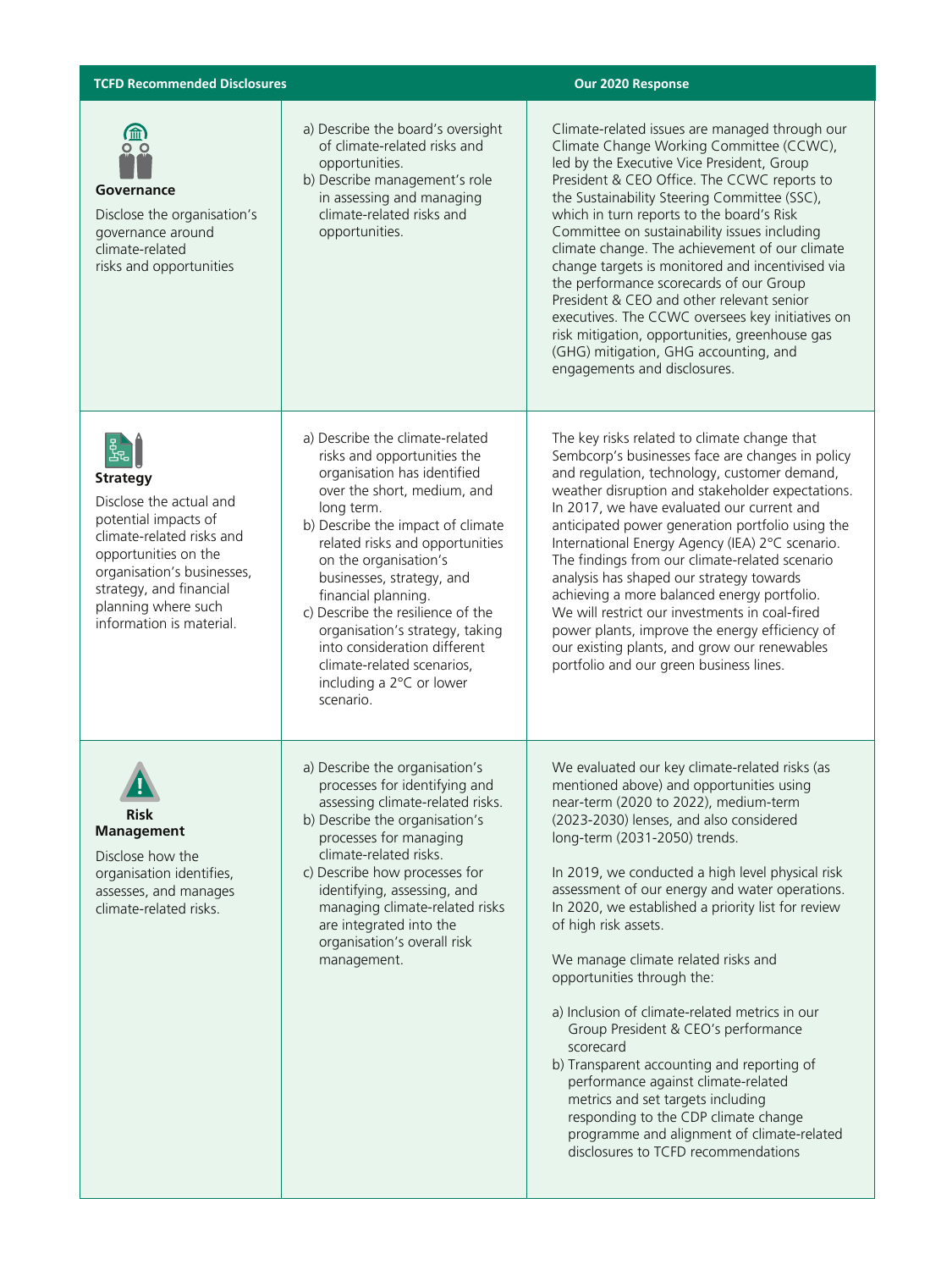| <b>TCFD Recommended Disclosures</b>                                                                                                                                                                                                      |                                                                                                                                                                                                                                                                                                                                                                                                                                                                                | Our 2020 Response                                                                                                                                                                                                                                                                                                                                                                                                                                                                                                                                                                                                                                                                                                                                                                                                                     |
|------------------------------------------------------------------------------------------------------------------------------------------------------------------------------------------------------------------------------------------|--------------------------------------------------------------------------------------------------------------------------------------------------------------------------------------------------------------------------------------------------------------------------------------------------------------------------------------------------------------------------------------------------------------------------------------------------------------------------------|---------------------------------------------------------------------------------------------------------------------------------------------------------------------------------------------------------------------------------------------------------------------------------------------------------------------------------------------------------------------------------------------------------------------------------------------------------------------------------------------------------------------------------------------------------------------------------------------------------------------------------------------------------------------------------------------------------------------------------------------------------------------------------------------------------------------------------------|
| $\bigoplus_{\substack{0 \leq x}}$<br>Governance<br>Disclose the organisation's<br>governance around<br>climate-related<br>risks and opportunities                                                                                        | a) Describe the board's oversight<br>of climate-related risks and<br>opportunities.<br>b) Describe management's role<br>in assessing and managing<br>climate-related risks and<br>opportunities.                                                                                                                                                                                                                                                                               | Climate-related issues are managed through our<br>Climate Change Working Committee (CCWC),<br>led by the Executive Vice President, Group<br>President & CEO Office. The CCWC reports to<br>the Sustainability Steering Committee (SSC),<br>which in turn reports to the board's Risk<br>Committee on sustainability issues including<br>climate change. The achievement of our climate<br>change targets is monitored and incentivised via<br>the performance scorecards of our Group<br>President & CEO and other relevant senior<br>executives. The CCWC oversees key initiatives on<br>risk mitigation, opportunities, greenhouse gas<br>(GHG) mitigation, GHG accounting, and<br>engagements and disclosures.                                                                                                                     |
| 的<br><b>Strategy</b><br>Disclose the actual and<br>potential impacts of<br>climate-related risks and<br>opportunities on the<br>organisation's businesses,<br>strategy, and financial<br>planning where such<br>information is material. | a) Describe the climate-related<br>risks and opportunities the<br>organisation has identified<br>over the short, medium, and<br>long term.<br>b) Describe the impact of climate<br>related risks and opportunities<br>on the organisation's<br>businesses, strategy, and<br>financial planning.<br>c) Describe the resilience of the<br>organisation's strategy, taking<br>into consideration different<br>climate-related scenarios,<br>including a 2°C or lower<br>scenario. | The key risks related to climate change that<br>Sembcorp's businesses face are changes in policy<br>and regulation, technology, customer demand,<br>weather disruption and stakeholder expectations.<br>In 2017, we have evaluated our current and<br>anticipated power generation portfolio using the<br>International Energy Agency (IEA) 2°C scenario.<br>The findings from our climate-related scenario<br>analysis has shaped our strategy towards<br>achieving a more balanced energy portfolio.<br>We will restrict our investments in coal-fired<br>power plants, improve the energy efficiency of<br>our existing plants, and grow our renewables<br>portfolio and our green business lines.                                                                                                                                 |
| <b>AR</b><br><b>Risk</b><br>Management<br>Disclose how the<br>organisation identifies,<br>assesses, and manages<br>climate-related risks.                                                                                                | a) Describe the organisation's<br>processes for identifying and<br>assessing climate-related risks.<br>b) Describe the organisation's<br>processes for managing<br>climate-related risks.<br>c) Describe how processes for<br>identifying, assessing, and<br>managing climate-related risks<br>are integrated into the<br>organisation's overall risk<br>management.                                                                                                           | We evaluated our key climate-related risks (as<br>mentioned above) and opportunities using<br>near-term (2020 to 2022), medium-term<br>(2023-2030) lenses, and also considered<br>long-term (2031-2050) trends.<br>In 2019, we conducted a high level physical risk<br>assessment of our energy and water operations.<br>In 2020, we established a priority list for review<br>of high risk assets.<br>We manage climate related risks and<br>opportunities through the:<br>a) Inclusion of climate-related metrics in our<br>Group President & CEO's performance<br>scorecard<br>b) Transparent accounting and reporting of<br>performance against climate-related<br>metrics and set targets including<br>responding to the CDP climate change<br>programme and alignment of climate-related<br>disclosures to TCFD recommendations |